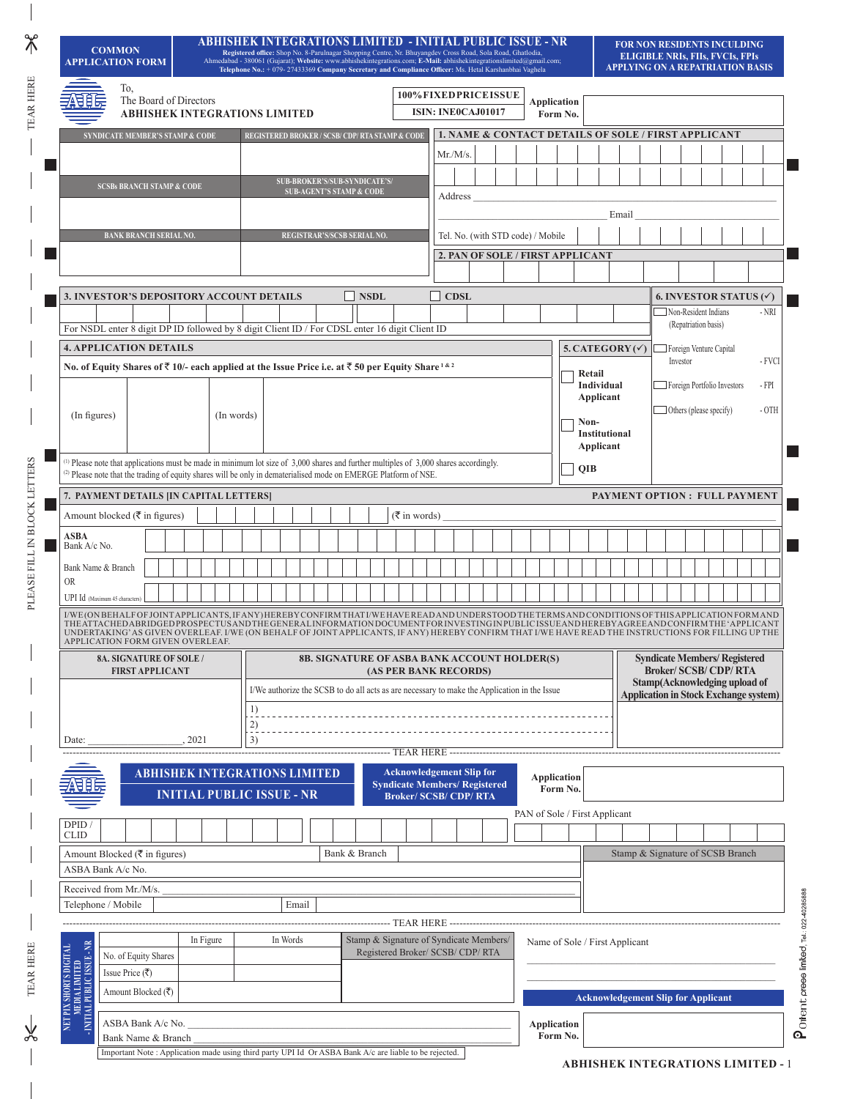| <b>COMMON</b><br><b>APPLICATION FORM</b>                                                                                                                                                                                                                                                                                                                                                                                                                                    |                 |                               |                                                                                                        | <u> ABHISHEK INTEGRATIONS LIMITED - INITIAL PUBLIC ISSUE - NR</u><br>Ahmedabad - 380061 (Gujarat); Website: www.abhishekintegrations.com; E-Mail: abhishekintegrationslimited@gmail.com; |            | Registered office: Shop No. 8-Parulnagar Shopping Centre, Nr. Bhuyangdev Cross Road, Sola Road, Ghatlodia,<br>Telephone No.: + 079-27433369 Company Secretary and Compliance Officer: Ms. Hetal Karshanbhai Vaghela |          |                                     |                                                     |             |  |               |                       |          |                                                                              |                                                     |                                |          |                                         |                                           |       |  |                                              |  | FOR NON RESIDENTS INCULDING<br><b>ELIGIBLE NRIS, FIIS, FVCIS, FPIS</b><br><b>APPLYING ON A REPATRIATION BASIS</b> |        |
|-----------------------------------------------------------------------------------------------------------------------------------------------------------------------------------------------------------------------------------------------------------------------------------------------------------------------------------------------------------------------------------------------------------------------------------------------------------------------------|-----------------|-------------------------------|--------------------------------------------------------------------------------------------------------|------------------------------------------------------------------------------------------------------------------------------------------------------------------------------------------|------------|---------------------------------------------------------------------------------------------------------------------------------------------------------------------------------------------------------------------|----------|-------------------------------------|-----------------------------------------------------|-------------|--|---------------|-----------------------|----------|------------------------------------------------------------------------------|-----------------------------------------------------|--------------------------------|----------|-----------------------------------------|-------------------------------------------|-------|--|----------------------------------------------|--|-------------------------------------------------------------------------------------------------------------------|--------|
|                                                                                                                                                                                                                                                                                                                                                                                                                                                                             | To,             |                               | The Board of Directors<br><b>ABHISHEK INTEGRATIONS LIMITED</b>                                         |                                                                                                                                                                                          |            |                                                                                                                                                                                                                     |          |                                     |                                                     |             |  |               |                       |          | 100% FIXED PRICE ISSUE<br><b>ISIN: INEOCAJ01017</b>                          |                                                     | Application                    | Form No. |                                         |                                           |       |  |                                              |  |                                                                                                                   |        |
| SYNDICATE MEMBER'S STAMP & CODE                                                                                                                                                                                                                                                                                                                                                                                                                                             |                 |                               |                                                                                                        |                                                                                                                                                                                          |            | REGISTERED BROKER / SCSB/ CDP/ RTA STAMP & CODE                                                                                                                                                                     |          |                                     |                                                     |             |  |               |                       |          |                                                                              | 1. NAME & CONTACT DETAILS OF SOLE / FIRST APPLICANT |                                |          |                                         |                                           |       |  |                                              |  |                                                                                                                   |        |
|                                                                                                                                                                                                                                                                                                                                                                                                                                                                             |                 |                               |                                                                                                        |                                                                                                                                                                                          |            |                                                                                                                                                                                                                     |          |                                     |                                                     |             |  |               |                       | Mr./M/s. |                                                                              |                                                     |                                |          |                                         |                                           |       |  |                                              |  |                                                                                                                   |        |
|                                                                                                                                                                                                                                                                                                                                                                                                                                                                             |                 |                               |                                                                                                        |                                                                                                                                                                                          |            |                                                                                                                                                                                                                     |          | SUB-BROKER'S/SUB-SYNDICATE'S/       |                                                     |             |  |               |                       |          |                                                                              |                                                     |                                |          |                                         |                                           |       |  |                                              |  |                                                                                                                   |        |
|                                                                                                                                                                                                                                                                                                                                                                                                                                                                             |                 |                               | <b>SCSBs BRANCH STAMP &amp; CODE</b>                                                                   |                                                                                                                                                                                          |            |                                                                                                                                                                                                                     |          | <b>SUB-AGENT'S STAMP &amp; CODE</b> |                                                     |             |  |               |                       | Address  |                                                                              |                                                     |                                |          |                                         |                                           |       |  |                                              |  |                                                                                                                   |        |
|                                                                                                                                                                                                                                                                                                                                                                                                                                                                             |                 |                               |                                                                                                        |                                                                                                                                                                                          |            |                                                                                                                                                                                                                     |          |                                     |                                                     |             |  |               |                       |          |                                                                              |                                                     |                                |          |                                         |                                           | Email |  |                                              |  |                                                                                                                   |        |
|                                                                                                                                                                                                                                                                                                                                                                                                                                                                             |                 | <b>BANK BRANCH SERIAL NO.</b> |                                                                                                        |                                                                                                                                                                                          |            |                                                                                                                                                                                                                     |          | REGISTRAR'S/SCSB SERIAL NO.         |                                                     |             |  |               |                       |          |                                                                              | Tel. No. (with STD code) / Mobile                   |                                |          |                                         |                                           |       |  |                                              |  |                                                                                                                   |        |
|                                                                                                                                                                                                                                                                                                                                                                                                                                                                             |                 |                               |                                                                                                        |                                                                                                                                                                                          |            |                                                                                                                                                                                                                     |          |                                     |                                                     |             |  |               |                       |          |                                                                              | 2. PAN OF SOLE / FIRST APPLICANT                    |                                |          |                                         |                                           |       |  |                                              |  |                                                                                                                   |        |
|                                                                                                                                                                                                                                                                                                                                                                                                                                                                             |                 |                               |                                                                                                        |                                                                                                                                                                                          |            |                                                                                                                                                                                                                     |          |                                     |                                                     |             |  |               |                       |          |                                                                              |                                                     |                                |          |                                         |                                           |       |  |                                              |  |                                                                                                                   |        |
| 3. INVESTOR'S DEPOSITORY ACCOUNT DETAILS                                                                                                                                                                                                                                                                                                                                                                                                                                    |                 |                               |                                                                                                        |                                                                                                                                                                                          |            |                                                                                                                                                                                                                     |          |                                     |                                                     | $\Box$ NSDL |  |               | $\Box$ CDSL           |          |                                                                              |                                                     |                                |          |                                         |                                           |       |  |                                              |  | 6. INVESTOR STATUS $(\checkmark)$                                                                                 |        |
|                                                                                                                                                                                                                                                                                                                                                                                                                                                                             |                 |                               |                                                                                                        |                                                                                                                                                                                          |            |                                                                                                                                                                                                                     |          |                                     |                                                     |             |  |               |                       |          |                                                                              |                                                     |                                |          |                                         |                                           |       |  | Non-Resident Indians<br>(Repatriation basis) |  |                                                                                                                   | $-NRI$ |
| For NSDL enter 8 digit DP ID followed by 8 digit Client ID / For CDSL enter 16 digit Client ID<br><b>4. APPLICATION DETAILS</b>                                                                                                                                                                                                                                                                                                                                             |                 |                               |                                                                                                        |                                                                                                                                                                                          |            |                                                                                                                                                                                                                     |          |                                     |                                                     |             |  |               |                       |          |                                                                              |                                                     |                                |          | 5. CATEGORY $(\checkmark)$              |                                           |       |  | Foreign Venture Capital                      |  |                                                                                                                   |        |
| No. of Equity Shares of ₹10/- each applied at the Issue Price i.e. at ₹50 per Equity Share <sup>1&amp;2</sup>                                                                                                                                                                                                                                                                                                                                                               |                 |                               |                                                                                                        |                                                                                                                                                                                          |            |                                                                                                                                                                                                                     |          |                                     |                                                     |             |  |               |                       |          |                                                                              |                                                     |                                |          |                                         |                                           |       |  | Investor                                     |  |                                                                                                                   | - FVCI |
|                                                                                                                                                                                                                                                                                                                                                                                                                                                                             |                 |                               |                                                                                                        |                                                                                                                                                                                          |            |                                                                                                                                                                                                                     |          |                                     |                                                     |             |  |               |                       |          |                                                                              |                                                     |                                |          |                                         | Retail<br>Individual                      |       |  | Foreign Portfolio Investors                  |  |                                                                                                                   | - FPI  |
|                                                                                                                                                                                                                                                                                                                                                                                                                                                                             |                 |                               |                                                                                                        |                                                                                                                                                                                          |            |                                                                                                                                                                                                                     |          |                                     |                                                     |             |  |               |                       |          |                                                                              |                                                     |                                |          |                                         | Applicant                                 |       |  |                                              |  |                                                                                                                   |        |
| (In figures)                                                                                                                                                                                                                                                                                                                                                                                                                                                                |                 |                               |                                                                                                        |                                                                                                                                                                                          | (In words) |                                                                                                                                                                                                                     |          |                                     |                                                     |             |  |               |                       |          |                                                                              |                                                     |                                |          |                                         | Non-                                      |       |  | Others (please specify)                      |  |                                                                                                                   | - OTH  |
|                                                                                                                                                                                                                                                                                                                                                                                                                                                                             |                 |                               |                                                                                                        |                                                                                                                                                                                          |            |                                                                                                                                                                                                                     |          |                                     |                                                     |             |  |               |                       |          |                                                                              |                                                     |                                |          |                                         | Institutional<br>Applicant                |       |  |                                              |  |                                                                                                                   |        |
| (1) Please note that applications must be made in minimum lot size of $3,000$ shares and further multiples of $3,000$ shares accordingly.                                                                                                                                                                                                                                                                                                                                   |                 |                               |                                                                                                        |                                                                                                                                                                                          |            |                                                                                                                                                                                                                     |          |                                     |                                                     |             |  |               |                       |          |                                                                              |                                                     |                                |          |                                         |                                           |       |  |                                              |  |                                                                                                                   |        |
| (2) Please note that the trading of equity shares will be only in dematerialised mode on EMERGE Platform of NSE.                                                                                                                                                                                                                                                                                                                                                            |                 |                               |                                                                                                        |                                                                                                                                                                                          |            |                                                                                                                                                                                                                     |          |                                     |                                                     |             |  |               |                       |          |                                                                              |                                                     |                                |          |                                         | QIB                                       |       |  |                                              |  |                                                                                                                   |        |
| 7. PAYMENT DETAILS  IN CAPITAL LETTERS                                                                                                                                                                                                                                                                                                                                                                                                                                      |                 |                               |                                                                                                        |                                                                                                                                                                                          |            |                                                                                                                                                                                                                     |          |                                     |                                                     |             |  |               |                       |          |                                                                              |                                                     |                                |          |                                         |                                           |       |  |                                              |  | PAYMENT OPTION : FULL PAYMENT                                                                                     |        |
| Amount blocked ( $\bar{\tau}$ in figures)                                                                                                                                                                                                                                                                                                                                                                                                                                   |                 |                               |                                                                                                        |                                                                                                                                                                                          |            |                                                                                                                                                                                                                     |          |                                     |                                                     |             |  | ( ₹ in words) |                       |          |                                                                              |                                                     |                                |          |                                         |                                           |       |  |                                              |  |                                                                                                                   |        |
| ASBA<br>Bank A/c No.                                                                                                                                                                                                                                                                                                                                                                                                                                                        |                 |                               |                                                                                                        |                                                                                                                                                                                          |            |                                                                                                                                                                                                                     |          |                                     |                                                     |             |  |               |                       |          |                                                                              |                                                     |                                |          |                                         |                                           |       |  |                                              |  |                                                                                                                   |        |
| Bank Name & Branch                                                                                                                                                                                                                                                                                                                                                                                                                                                          |                 |                               |                                                                                                        |                                                                                                                                                                                          |            |                                                                                                                                                                                                                     |          |                                     |                                                     |             |  |               |                       |          |                                                                              |                                                     |                                |          |                                         |                                           |       |  |                                              |  |                                                                                                                   |        |
| <b>OR</b><br>UPI Id (Maximum 45 characters)                                                                                                                                                                                                                                                                                                                                                                                                                                 |                 |                               |                                                                                                        |                                                                                                                                                                                          |            |                                                                                                                                                                                                                     |          |                                     |                                                     |             |  |               |                       |          |                                                                              |                                                     |                                |          |                                         |                                           |       |  |                                              |  |                                                                                                                   |        |
| I/WE (ONBEHALF OF JOINT APPLICANTS, IF ANY) HEREBY CONFIRM THAT I/WE HAVE READAND UNDERSTOOD THE TERMS AND CONDITIONS OF THIS APPLICATION FORMAND<br>THEATTACHEDABRIDGEDPROSPECTUSANDTHEGENERALINFORMATIONDOCUMENTFORINVESTINGINPUBLICISSUEANDHEREBYAGREEANDCONFIRMTHE'APPLICANT<br>UNDERTAKING' AS GIVEN OVERLEAF. I/WE (ON BEHALF OF JOINT APPLICANTS, IF ANY) HEREBY CONFIRM THAT I/WE HAVE READ THE INSTRUCTIONS FOR FILLING UP THE<br>APPLICATION FORM GIVEN OVERLEAF. |                 |                               |                                                                                                        |                                                                                                                                                                                          |            |                                                                                                                                                                                                                     |          |                                     |                                                     |             |  |               |                       |          |                                                                              |                                                     |                                |          |                                         |                                           |       |  |                                              |  |                                                                                                                   |        |
|                                                                                                                                                                                                                                                                                                                                                                                                                                                                             |                 |                               | <b>8A. SIGNATURE OF SOLE /</b>                                                                         |                                                                                                                                                                                          |            |                                                                                                                                                                                                                     |          |                                     | <b>8B. SIGNATURE OF ASBA BANK ACCOUNT HOLDER(S)</b> |             |  |               |                       |          |                                                                              |                                                     |                                |          |                                         |                                           |       |  |                                              |  | <b>Syndicate Members/ Registered</b><br><b>Broker/SCSB/CDP/RTA</b>                                                |        |
|                                                                                                                                                                                                                                                                                                                                                                                                                                                                             |                 | <b>FIRST APPLICANT</b>        |                                                                                                        |                                                                                                                                                                                          |            | I/We authorize the SCSB to do all acts as are necessary to make the Application in the Issue                                                                                                                        |          |                                     |                                                     |             |  |               | (AS PER BANK RECORDS) |          |                                                                              |                                                     |                                |          |                                         |                                           |       |  |                                              |  | Stamp(Acknowledging upload of                                                                                     |        |
|                                                                                                                                                                                                                                                                                                                                                                                                                                                                             |                 |                               |                                                                                                        |                                                                                                                                                                                          |            | $\frac{1}{2}$                                                                                                                                                                                                       |          |                                     |                                                     |             |  |               |                       |          |                                                                              |                                                     |                                |          |                                         |                                           |       |  |                                              |  | <b>Application in Stock Exchange system)</b>                                                                      |        |
|                                                                                                                                                                                                                                                                                                                                                                                                                                                                             |                 |                               |                                                                                                        |                                                                                                                                                                                          |            | $\frac{2}{2}$                                                                                                                                                                                                       |          |                                     |                                                     |             |  |               |                       |          |                                                                              |                                                     |                                |          |                                         |                                           |       |  |                                              |  |                                                                                                                   |        |
| Date:                                                                                                                                                                                                                                                                                                                                                                                                                                                                       |                 |                               | , 2021                                                                                                 |                                                                                                                                                                                          |            | 3)                                                                                                                                                                                                                  |          |                                     |                                                     |             |  |               |                       |          |                                                                              |                                                     |                                |          |                                         |                                           |       |  |                                              |  |                                                                                                                   |        |
|                                                                                                                                                                                                                                                                                                                                                                                                                                                                             |                 |                               |                                                                                                        |                                                                                                                                                                                          |            |                                                                                                                                                                                                                     |          |                                     |                                                     |             |  |               |                       |          |                                                                              |                                                     |                                |          |                                         |                                           |       |  |                                              |  |                                                                                                                   |        |
|                                                                                                                                                                                                                                                                                                                                                                                                                                                                             |                 |                               | <b>ABHISHEK INTEGRATIONS LIMITED</b>                                                                   |                                                                                                                                                                                          |            |                                                                                                                                                                                                                     |          |                                     |                                                     |             |  |               |                       |          | <b>Acknowledgement Slip for</b><br><b>Syndicate Members/ Registered</b>      |                                                     | Application                    | Form No. |                                         |                                           |       |  |                                              |  |                                                                                                                   |        |
|                                                                                                                                                                                                                                                                                                                                                                                                                                                                             |                 |                               | <b>INITIAL PUBLIC ISSUE - NR</b>                                                                       |                                                                                                                                                                                          |            |                                                                                                                                                                                                                     |          |                                     |                                                     |             |  |               |                       |          | <b>Broker/ SCSB/ CDP/ RTA</b>                                                |                                                     | PAN of Sole / First Applicant  |          |                                         |                                           |       |  |                                              |  |                                                                                                                   |        |
| DPID                                                                                                                                                                                                                                                                                                                                                                                                                                                                        |                 |                               |                                                                                                        |                                                                                                                                                                                          |            |                                                                                                                                                                                                                     |          |                                     |                                                     |             |  |               |                       |          |                                                                              |                                                     |                                |          |                                         |                                           |       |  |                                              |  |                                                                                                                   |        |
| <b>CLID</b>                                                                                                                                                                                                                                                                                                                                                                                                                                                                 |                 |                               |                                                                                                        |                                                                                                                                                                                          |            |                                                                                                                                                                                                                     |          |                                     | Bank & Branch                                       |             |  |               |                       |          |                                                                              |                                                     |                                |          |                                         |                                           |       |  |                                              |  |                                                                                                                   |        |
| Amount Blocked ( $\overline{\xi}$ in figures)<br>ASBA Bank A/c No.                                                                                                                                                                                                                                                                                                                                                                                                          |                 |                               |                                                                                                        |                                                                                                                                                                                          |            |                                                                                                                                                                                                                     |          |                                     |                                                     |             |  |               |                       |          |                                                                              |                                                     |                                |          |                                         |                                           |       |  |                                              |  | Stamp & Signature of SCSB Branch                                                                                  |        |
| Received from Mr./M/s.                                                                                                                                                                                                                                                                                                                                                                                                                                                      |                 |                               |                                                                                                        |                                                                                                                                                                                          |            |                                                                                                                                                                                                                     |          |                                     |                                                     |             |  |               |                       |          |                                                                              |                                                     |                                |          |                                         |                                           |       |  |                                              |  |                                                                                                                   |        |
| Telephone / Mobile                                                                                                                                                                                                                                                                                                                                                                                                                                                          |                 |                               |                                                                                                        |                                                                                                                                                                                          |            |                                                                                                                                                                                                                     |          | Email                               |                                                     |             |  |               |                       |          |                                                                              |                                                     |                                |          |                                         |                                           |       |  |                                              |  |                                                                                                                   |        |
|                                                                                                                                                                                                                                                                                                                                                                                                                                                                             |                 |                               |                                                                                                        |                                                                                                                                                                                          |            |                                                                                                                                                                                                                     |          |                                     |                                                     |             |  |               |                       |          |                                                                              |                                                     |                                |          |                                         |                                           |       |  |                                              |  |                                                                                                                   |        |
| P.                                                                                                                                                                                                                                                                                                                                                                                                                                                                          |                 |                               |                                                                                                        | In Figure                                                                                                                                                                                |            |                                                                                                                                                                                                                     | In Words |                                     |                                                     |             |  |               |                       |          | Stamp & Signature of Syndicate Members/<br>Registered Broker/ SCSB/ CDP/ RTA |                                                     | Name of Sole / First Applicant |          |                                         |                                           |       |  |                                              |  |                                                                                                                   |        |
|                                                                                                                                                                                                                                                                                                                                                                                                                                                                             | Issue Price (₹) | No. of Equity Shares          |                                                                                                        |                                                                                                                                                                                          |            |                                                                                                                                                                                                                     |          |                                     |                                                     |             |  |               |                       |          |                                                                              |                                                     |                                |          |                                         |                                           |       |  |                                              |  |                                                                                                                   |        |
| NET PIX SHORTS DIGITAL<br>MEDIA LIMITED<br>- INITIAL PUBLIC ISSUE - NR                                                                                                                                                                                                                                                                                                                                                                                                      |                 | Amount Blocked (₹)            |                                                                                                        |                                                                                                                                                                                          |            |                                                                                                                                                                                                                     |          |                                     |                                                     |             |  |               |                       |          |                                                                              |                                                     |                                |          |                                         |                                           |       |  |                                              |  |                                                                                                                   |        |
|                                                                                                                                                                                                                                                                                                                                                                                                                                                                             |                 |                               |                                                                                                        |                                                                                                                                                                                          |            |                                                                                                                                                                                                                     |          |                                     |                                                     |             |  |               |                       |          |                                                                              |                                                     |                                |          |                                         | <b>Acknowledgement Slip for Applicant</b> |       |  |                                              |  |                                                                                                                   |        |
|                                                                                                                                                                                                                                                                                                                                                                                                                                                                             |                 | ASBA Bank A/c No.             |                                                                                                        |                                                                                                                                                                                          |            |                                                                                                                                                                                                                     |          |                                     |                                                     |             |  |               |                       |          |                                                                              |                                                     | <b>Application</b>             |          |                                         |                                           |       |  |                                              |  |                                                                                                                   |        |
|                                                                                                                                                                                                                                                                                                                                                                                                                                                                             |                 | Bank Name & Branch            |                                                                                                        |                                                                                                                                                                                          |            |                                                                                                                                                                                                                     |          |                                     |                                                     |             |  |               |                       |          |                                                                              |                                                     |                                |          |                                         |                                           |       |  |                                              |  |                                                                                                                   |        |
|                                                                                                                                                                                                                                                                                                                                                                                                                                                                             |                 |                               | Important Note : Application made using third party UPI Id Or ASBA Bank A/c are liable to be rejected. |                                                                                                                                                                                          |            |                                                                                                                                                                                                                     |          |                                     |                                                     |             |  |               |                       |          |                                                                              |                                                     |                                | Form No. | <b>ARHISHEK INTEGRATIONS LIMITED. 1</b> |                                           |       |  |                                              |  |                                                                                                                   |        |

PLEASE FILL IN BLOCK LETTERS TEAR HERE TEAR HERE

PLEASE FILL IN BLOCK LETTERS

X

TEAR HERE

 $*$ 

 $-$  TEAR HERE

 $\mathsf{P}^{\mathsf{OPT}}$ 

**ABHISHEK INTEGRATIONS LIMITED -** 1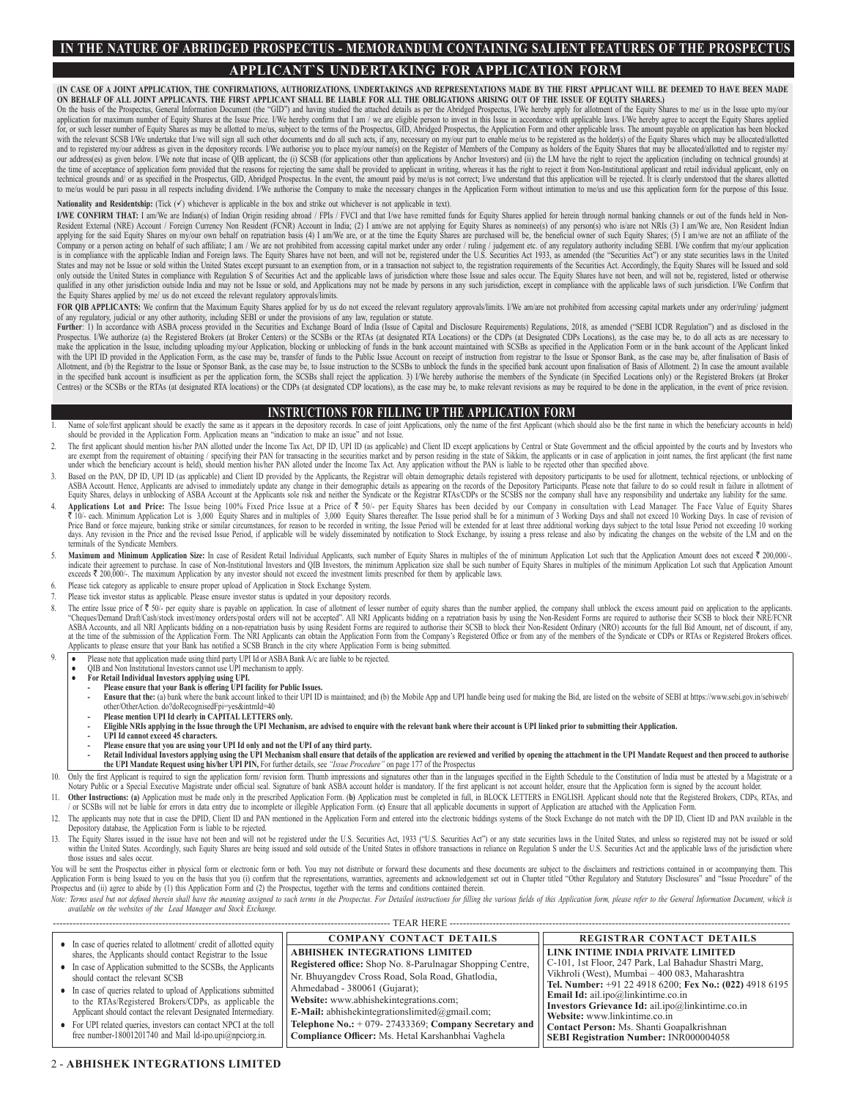# **IN THE NATURE OF ABRIDGED PROSPECTUS - MEMORANDUM CONTAINING SALIENT FEATURES OF THE PROSPECTUS APPLICANT`S UNDERTAKING FOR APPLICATION FORM**

**(IN CASE OF A JOINT APPLICATION, THE CONFIRMATIONS, AUTHORIZATIONS, UNDERTAKINGS AND REPRESENTATIONS MADE BY THE FIRST APPLICANT WILL BE DEEMED TO HAVE BEEN MADE ON BEHALF OF ALL JOINT APPLICANTS. THE FIRST APPLICANT SHALL BE LIABLE FOR ALL THE OBLIGATIONS ARISING OUT OF THE ISSUE OF EQUITY SHARES.)**

On the basis of the Prospectus, General Information Document (the "GID") and having studied the attached details as per the Abridged Prospectus, I/We hereby apply for allotment of the Equity Shares to me/ us in the Issue u application for maximum number of Equity Shares at the Issue Price. I/We hereby confirm that 1 am / we are eligible person to invest in this Issue in accordance with applicable laws. I/We hereby agree to accept the Equity with the relevant SCSB I/We undertake that I/we will sign all such other documents and do all such acts, if any, necessary on my/our part to enable me/us to be registered as the holder(s) of the Equity Shares which may be and to registered my/our address as given in the depository records. I/We authorise you to place my/our name(s) on the Register of Members of the Company as holders of the Equity Shares that may be allocated/allotted and t the time of acceptance of application form provided that the reasons for rejecting the same shall be provided to applicant in writing, whereas it has the right to reject it from Non-Institutional applicant and retail indiv to me/us would be pari passu in all respects including dividend. I/We authorise the Company to make the necessary changes in the Application Form without intimation to me/us and use this application form for the purpose of

#### **Nationality and Residentship:** (Tick ( $\checkmark$ ) whichever is applicable in the box and strike out whichever is not applicable in text).

I/WE CONFIRM THAT: 1 am/We are Indian(s) of Indian Origin residing abroad / FPIs / FVC1 and that I/we have remitted funds for Equity Shares applied for herein through normal banking channels or out of the funds held in Non Company or a person acting on behalf of such affiliate; I am / We are not prohibited from accessing capital market under any order / ruling / judgement etc. of any regulatory authority including SEBI. I/We confirm that my/ pliance with the applicable Indian and Foreign laws. The Equity Shares have not been, and will not be, registered under the U.S. Securities Act 1933, as amended (the "Securities Act") or any state securities laws in the States and may not be Issue or sold within the United States except pursuant to an exemption from, or in a transaction not subject to, the registration requirements of the Securities Act. Accordingly, the Equity Shares wil only outside the United States in compliance with Regulation S of Securities Act and the applicable laws of jurisdiction where those Issue and sales occur. The Equity Shares have not been, and will not be, registered, list qualified in any other jurisdiction outside India and may not be Issue or sold, and Applications may not be made by persons in any such jurisdiction, except in compliance with the applicable laws of such jurisdiction. I/We the Equity Shares applied by me/ us do not exceed the relevant regulatory approvals/limits.

FOR QIB APPLICANTS: We confirm that the Maximum Equity Shares applied for by us do not exceed the relevant regulatory approvals/limits. J/We am/are not prohibited from accessing capital markets under any order/ruling/ judg

of any regulatory, judicial or any other authority, including SEBI or under the provisions of any law, regulation or statute.<br>Further: 1) In accordance with ASBA process provided in the Securities and Exchange Board of Ind Prospectus. I/We authorize (a) the Registered Brokers (at Broker Centers) or the SCSBs or the RTAs (at designated RTA Locations) or the CDPs (at Designated CDPs Locations), as the case may be, to do all acts as are necessa make the application in the Issue, including uploading my/our Application, blocking or unblocking of funds in the bank account maintained with SCSBs as specified in the Application Form or in the bank account of the Applic with the UPI ID provided in the Application Form, as the case may be, transfer of funds to the Public Issue Account on receipt of instruction from registrar to the Issue or Sponsor Bank, as the case may be, after finalisat in the specified bank account is insufficient as per the application form, the SCSBs shall reject the application. 3) I/We hereby authorise the members of the Syndicate (in Specified Locations only) or the Registered Broke Centres) or the SCSBs or the RTAs (at designated RTA locations) or the CDPs (at designated CDP locations), as the case may be, to make relevant revisions as may be required to be done in the application, in the event of pr

### **INSTRUCTIONS FOR FILLING UP THE APPLICATION FORM**

- Name of sole/first applicant should be exactly the same as it appears in the depository records. In case of joint Applications, only the name of the first Applicant (which should also be the first name in which the benefic should be provided in the Application Form. Application means an "indication to make an issue" and not Issue.
- The first applicant should mention his/her PAN allotted under the Income Tax Act, DP ID, UPI ID (as applicable) and Client ID except applications by Central or State Government and the official appointed by the courts and are exempt from the requirement of obtaining / specitying their PAN for transacting in the securities market and by person residing in the state of Sikkim, the applicants or in case of application in joint names, the first
- Based on the PAN, DP ID, UPI ID (as applicable) and Client ID provided by the Applicants, the Registrar will obtain demographic details registered with depository participants to be used for allotment, technical rejections ASBA Account. Hence, Applicants are advised to immediately update any change in their demographic details as appearing on the records of the Depository Participants. Please note that failure to do so could result in failur
- 4. Applications Lot and Price: The Issue being 100% Fixed Price Issue at a Price of ₹ 50/- per Equity Shares has been decided by our Company in consultation with Lead Manager. The Face Value of Equity Shares \* 10/-each Mi days. Any revision in the Price and the revised Issue Period, if applicable will be widely disseminated by notification to Stock Exchange, by issuing a press release and also by indicating the changes on the website of the terminals of the Syndicate Members.
- 5. Maximum and Minimum Application Size: In case of Resident Retail Individual Applicants, such number of Equity Shares in multiples of the of minimum Application Lot such that the Application Amount does not exceed ₹ 200 indicate their agreement to purchase. In case of Non-Institutional Investors and QIB Investors, the minimum Application since shall be such numbers of Equity Shares in multiples of the minimum Application Lot such that App exceeds ₹ 200,000/-. The maximum Application by any investor should not exceed the investment limits prescribed for them by applicable laws.
- Please tick category as applicable to ensure proper upload of Application in Stock Exchange System.
- Please tick investor status as applicable. Please ensure investor status is updated in your depository records.
- The entire Issue price of ₹ 50/- per equity share is payable on application. In case of allotment of lesser number of equity shares than the number applied, the company shall unblock the excess amount paid on application "Cheques/Demand Drati/Cash/stock invest/money orders/postal orders will not be accepted". All NRI Applicants bidding on a repatriation basis by using the Non-Resident Forms are required to authorise their SCSB to block the Applicants to please ensure that your Bank has notified a SCSB Branch in the city where Application Form is being submitted.
- 9. Please note that application made using third party UPI Id or ASBA Bank A/c are liable to be rejected.
	- QIB and Non Institutional Investors cannot use UPI mechanism to apply.
	-
	- **For Retail Individual Investors applying using UPI. - Please ensure that your Bank is offering UPI facility for Public Issues.**
		- Ensure that the: (a) bank where the bank account linked to their UPI ID is maintained; and (b) the Mobile App and UPI handle being used for making the Bid, are listed on the website of SEBI at https://www.sebi.gov.in/sebiw other/OtherAction. do?doRecognisedFpi=yes&intmId=40
		- **- Please mention UPI Id clearly in CAPITAL LETTERS only.**
			- **- Eligible NRIs applying in the Issue through the UPI Mechanism, are advised to enquire with the relevant bank where their account is UPI linked prior to submitting their Application.**
		- **- UPI Id cannot exceed 45 characters.**
		-
	- Please ensure that you are using your UPI Id only and not the UPI of any third party.<br>- Retail Individual Investors applying using the UPI Mechanism shall ensure that details of the application are reviewed and verified **the UPI Mandate Request using his/her UPI PIN,** For further details, see *"Issue Procedure"* on page 177 of the Prospectus
- 10. Only the first Applicant is required to sign the application form/ revision form. Thumb impressions and signatures other than in the languages specified in the Eighth Schedule to the Constitution of India must be attes Notary Public or a Special Executive Magistrate under official seal. Signature of bank ASBA account holder is mandatory. If the first applicant is not account holder, ensure that the Application form is signed by the accou
- Other Instructions: (a) Application must be made only in the prescribed Application Form. (b) Application must be completed in full, in BLOCK LETTERS in ENGLISH. Applicant should note that the Registered Brokers, CDPs, RTA / or SCSBs will not be liable for errors in data entry due to incomplete or illegible Application Form. (**c)** Ensure that all applicable documents in support of Application are attached with the Application Form.
- 12. The applicants may note that in case the DPID, Client ID and PAN mentioned in the Application Form and entered into the electronic biddings systems of the Stock Exchange do not match with the DP ID, Client ID and PAN a Depository database, the Application Form is liable to be rejected.
- The Equity Shares issued in the issue have not been and will not be registered under the U.S. Securities Act, 1933 ("U.S. Securities Act") or any state securities laws in the United States, and unless so registered may not within the United States. Accordingly, such Equity Shares are being issued and sold outside of the United States in offshore transactions in reliance on Regulation S under the U.S. Securities Act and the applicable laws of those issues and sales occur.

You will be sent the Prospectus either in physical form or electronic form or both. You may not distribute or forward these documents and these documents are subject to the disclaimers and restrictions contained in or acco Application Form is being Issued to you on the basis that you (i) confirm that the representations, warranties, agreements and acknowledgement set out in Chapter titled "Other Regulatory and Statutory Disclosures" and "Iss Prospectus and (ii) agree to abide by (1) this Application Form and (2) the Prospectus, together with the terms and conditions contained therein.

Note: Terms used but not defined therein shall have the meaning assigned to such terms in the Prospectus. For Detailed instructions for filling the various fields of this Application form, please refer to the General Infor

|                                                                      | TEAR HERE.<br>----------------------------                                |                                                                                                           |
|----------------------------------------------------------------------|---------------------------------------------------------------------------|-----------------------------------------------------------------------------------------------------------|
| • In case of queries related to allotment/ credit of allotted equity | <b>COMPANY CONTACT DETAILS</b>                                            | <b>REGISTRAR CONTACT DETAILS</b>                                                                          |
| shares, the Applicants should contact Registrar to the Issue         | <b>ABHISHEK INTEGRATIONS LIMITED</b>                                      | LINK INTIME INDIA PRIVATE LIMITED                                                                         |
| • In case of Application submitted to the SCSBs, the Applicants      | Registered office: Shop No. 8-Parulnagar Shopping Centre,                 | C-101, 1st Floor, 247 Park, Lal Bahadur Shastri Marg,                                                     |
| should contact the relevant SCSB                                     | Nr. Bhuyangdev Cross Road, Sola Road, Ghatlodia,                          | Vikhroli (West), Mumbai - 400 083, Maharashtra<br>Tel. Number: +91 22 4918 6200; Fex No.: (022) 4918 6195 |
| • In case of queries related to upload of Applications submitted     | Ahmedabad - 380061 (Gujarat);                                             | Email Id: ail.ipo@linkintime.co.in                                                                        |
| to the RTAs/Registered Brokers/CDPs, as applicable the               | Website: www.abhishekintegrations.com;                                    | Investors Grievance Id: ail.ipo@linkintime.co.in                                                          |
| Applicant should contact the relevant Designated Intermediary.       | $\mathbf{E}\text{-}\mathbf{Mail:}$ abhishekintegrationslimited@gmail.com; | Website: www.linkintime.co.in                                                                             |
| • For UPI related queries, investors can contact NPCI at the toll    | Telephone No.: $+ 079 - 27433369$ ; Company Secretary and                 | Contact Person: Ms. Shanti Goapalkrishnan                                                                 |
| free number-18001201740 and Mail ld-ipo.upi@npciorg.in.              | Compliance Officer: Ms. Hetal Karshanbhai Vaghela                         | <b>SEBI Registration Number: INR000004058</b>                                                             |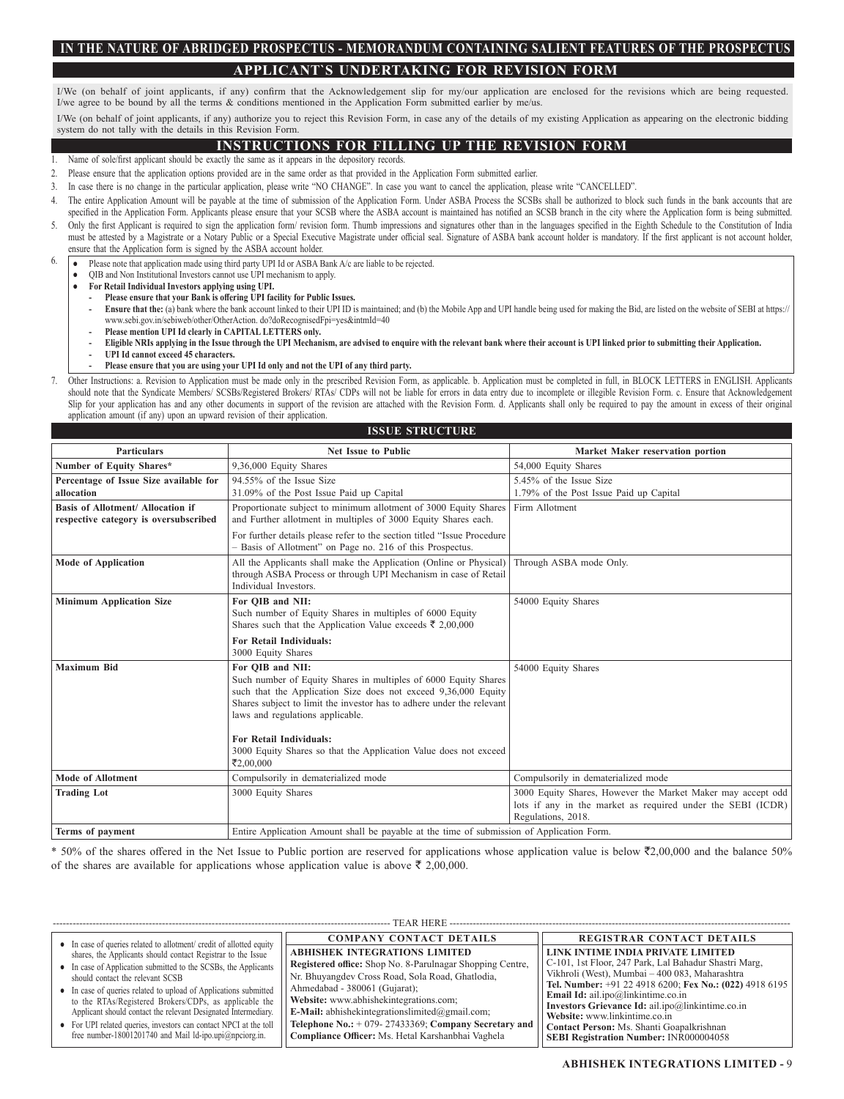# **IN THE NATURE OF ABRIDGED PROSPECTUS - MEMORANDUM CONTAINING SALIENT FEATURES OF THE PROSPECTUS APPLICANT`S UNDERTAKING FOR REVISION FORM**

I/We (on behalf of joint applicants, if any) confirm that the Acknowledgement slip for my/our application are enclosed for the revisions which are being requested. I/we agree to be bound by all the terms & conditions mentioned in the Application Form submitted earlier by me/us.

I/We (on behalf of joint applicants, if any) authorize you to reject this Revision Form, in case any of the details of my existing Application as appearing on the electronic bidding system do not tally with the details in this Revision Form.

### **INSTRUCTIONS FOR FILLING UP THE REVISION FORM**

- Name of sole/first applicant should be exactly the same as it appears in the depository records.
- 2. Please ensure that the application options provided are in the same order as that provided in the Application Form submitted earlier.
- 3. In case there is no change in the particular application, please write "NO CHANGE". In case you want to cancel the application, please write "CANCELLED".
- The entire Application Amount will be payable at the time of submission of the Application Form. Under ASBA Process the SCSBs shall be authorized to block such funds in the bank accounts that are specified in the Application Form. Applicants please ensure that your SCSB where the ASBA account is maintained has notified an SCSB branch in the city where the Application form is being submitted.
- 5. Only the first Applicant is required to sign the application form/ revision form. Thumb impressions and signatures other than in the languages specified in the Eighth Schedule to the Constitution of India must be attested by a Magistrate or a Notary Public or a Special Executive Magistrate under official seal. Signature of ASBA bank account holder is mandatory. If the first applicant is not account holder, ensure that the Application form is signed by the ASBA account holder.
- 6. Please note that application made using third party UPI Id or ASBA Bank A/c are liable to be rejected.
	- QIB and Non Institutional Investors cannot use UPI mechanism to apply.
	- **For Retail Individual Investors applying using UPI.**
		- **- Please ensure that your Bank is offering UPI facility for Public Issues.**
		- **Ensure that the:** (a) bank where the bank account linked to their UPI ID is maintained; and (b) the Mobile App and UPI handle being used for making the Bid, are listed on the website of SEBI at https:// www.sebi.gov.in/sebiweb/other/OtherAction. do?doRecognisedFpi=yes&intmId=40
		- **- Please mention UPI Id clearly in CAPITAL LETTERS only.**
		- **- Eligible NRIs applying in the Issue through the UPI Mechanism, are advised to enquire with the relevant bank where their account is UPI linked prior to submitting their Application.**
		- **- UPI Id cannot exceed 45 characters.**
	- **- Please ensure that you are using your UPI Id only and not the UPI of any third party.**

7. Other Instructions: a. Revision to Application must be made only in the prescribed Revision Form, as applicable. b. Application must be completed in full, in BLOCK LETTERS in ENGLISH. Applicants should note that the Syndicate Members/ SCSBs/Registered Brokers/ RTAs/ CDPs will not be liable for errors in data entry due to incomplete or illegible Revision Form. c. Ensure that Acknowledgement Slip for your application has and any other documents in support of the revision are attached with the Revision Form. d. Applicants shall only be required to pay the amount in excess of their original application amount (if any) upon an upward revision of their application.

### **ISSUE STRUCTURE**

| <b>Particulars</b>                                                                | <b>Net Issue to Public</b>                                                                                                                                                                                                                                         | Market Maker reservation portion                                                                                                                 |
|-----------------------------------------------------------------------------------|--------------------------------------------------------------------------------------------------------------------------------------------------------------------------------------------------------------------------------------------------------------------|--------------------------------------------------------------------------------------------------------------------------------------------------|
| Number of Equity Shares*                                                          | 9,36,000 Equity Shares                                                                                                                                                                                                                                             | 54,000 Equity Shares                                                                                                                             |
| Percentage of Issue Size available for<br>allocation                              | 94.55% of the Issue Size<br>31.09% of the Post Issue Paid up Capital                                                                                                                                                                                               | 5.45% of the Issue Size<br>1.79% of the Post Issue Paid up Capital                                                                               |
| <b>Basis of Allotment/ Allocation if</b><br>respective category is oversubscribed | Proportionate subject to minimum allotment of 3000 Equity Shares<br>and Further allotment in multiples of 3000 Equity Shares each.                                                                                                                                 | Firm Allotment                                                                                                                                   |
|                                                                                   | For further details please refer to the section titled "Issue Procedure"<br>- Basis of Allotment" on Page no. 216 of this Prospectus.                                                                                                                              |                                                                                                                                                  |
| <b>Mode of Application</b>                                                        | All the Applicants shall make the Application (Online or Physical)<br>through ASBA Process or through UPI Mechanism in case of Retail<br>Individual Investors.                                                                                                     | Through ASBA mode Only.                                                                                                                          |
| <b>Minimum Application Size</b>                                                   | For OIB and NII:<br>Such number of Equity Shares in multiples of 6000 Equity<br>Shares such that the Application Value exceeds ₹ 2,00,000                                                                                                                          | 54000 Equity Shares                                                                                                                              |
|                                                                                   | <b>For Retail Individuals:</b><br>3000 Equity Shares                                                                                                                                                                                                               |                                                                                                                                                  |
| <b>Maximum Bid</b>                                                                | For OIB and NII:<br>Such number of Equity Shares in multiples of 6000 Equity Shares<br>such that the Application Size does not exceed 9,36,000 Equity<br>Shares subject to limit the investor has to adhere under the relevant<br>laws and regulations applicable. | 54000 Equity Shares                                                                                                                              |
|                                                                                   | <b>For Retail Individuals:</b><br>3000 Equity Shares so that the Application Value does not exceed<br>₹2.00.000                                                                                                                                                    |                                                                                                                                                  |
| <b>Mode of Allotment</b>                                                          | Compulsorily in dematerialized mode                                                                                                                                                                                                                                | Compulsorily in dematerialized mode                                                                                                              |
| <b>Trading Lot</b>                                                                | 3000 Equity Shares                                                                                                                                                                                                                                                 | 3000 Equity Shares, However the Market Maker may accept odd<br>lots if any in the market as required under the SEBI (ICDR)<br>Regulations, 2018. |
| Terms of payment                                                                  | Entire Application Amount shall be payable at the time of submission of Application Form.                                                                                                                                                                          |                                                                                                                                                  |

\* 50% of the shares offered in the Net Issue to Public portion are reserved for applications whose application value is below  $\overline{(}2,00,000$  and the balance 50% of the shares are available for applications whose application value is above  $\bar{\tau}$  2,00,000.

|                                                                      | TEAR HERE<br>                                             |                                                         |
|----------------------------------------------------------------------|-----------------------------------------------------------|---------------------------------------------------------|
|                                                                      |                                                           |                                                         |
| • In case of queries related to allotment/ credit of allotted equity | <b>COMPANY CONTACT DETAILS</b>                            | <b>REGISTRAR CONTACT DETAILS</b>                        |
| shares, the Applicants should contact Registrar to the Issue         | <b>ABHISHEK INTEGRATIONS LIMITED</b>                      | LINK INTIME INDIA PRIVATE LIMITED                       |
| • In case of Application submitted to the SCSBs, the Applicants      | Registered office: Shop No. 8-Parulnagar Shopping Centre, | C-101, 1st Floor, 247 Park, Lal Bahadur Shastri Marg,   |
| should contact the relevant SCSB                                     | Nr. Bhuyangdev Cross Road, Sola Road, Ghatlodia,          | Vikhroli (West), Mumbai - 400 083, Maharashtra          |
| • In case of queries related to upload of Applications submitted     | Ahmedabad - 380061 (Gujarat);                             | Tel. Number: +91 22 4918 6200; Fex No.: (022) 4918 6195 |
| to the RTAs/Registered Brokers/CDPs, as applicable the               | Website: www.abhishekintegrations.com;                    | Email Id: ail.ipo@linkintime.co.in                      |
|                                                                      |                                                           | Investors Grievance Id: ail.ipo@linkintime.co.in        |
| Applicant should contact the relevant Designated Intermediary.       | <b>E-Mail</b> : abhishekintegrationslimited@gmail.com;    | Website: www.linkintime.co.in                           |
| • For UPI related queries, investors can contact NPCI at the toll    | Telephone No.: $+$ 079- 27433369; Company Secretary and   | Contact Person: Ms. Shanti Goapalkrishnan               |
| free number-18001201740 and Mail ld-ipo.upi@npciorg.in.              | Compliance Officer: Ms. Hetal Karshanbhai Vaghela         | <b>SEBI Registration Number: INR000004058</b>           |